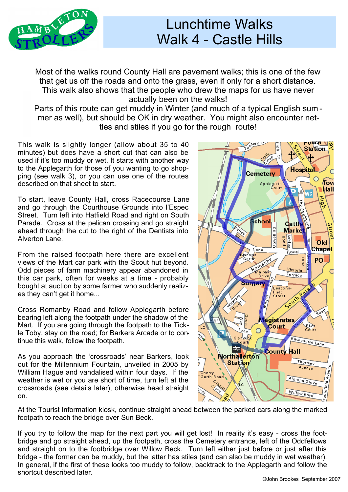

## Lunchtime Walks Walk 4 - Castle Hills

Most of the walks round County Hall are pavement walks; this is one of the few that get us off the roads and onto the grass, even if only for a short distance. This walk also shows that the people who drew the maps for us have never actually been on the walks!

Parts of this route can get muddy in Winter (and much of a typical English sum mer as well), but should be OK in dry weather. You might also encounter nettles and stiles if you go for the rough route!

This walk is slightly longer (allow about 35 to 40 minutes) but does have a short cut that can also be used if it's too muddy or wet. It starts with another way to the Applegarth for those of you wanting to go shopping (see walk 3), or you can use one of the routes described on that sheet to start.

To start, leave County Hall, cross Racecourse Lane and go through the Courthouse Grounds into l'Espec Street. Turn left into Hatfield Road and right on South Parade. Cross at the pelican crossing and go straight ahead through the cut to the right of the Dentists into Alverton Lane.

From the raised footpath here there are excellent views of the Mart car park with the Scout hut beyond. Odd pieces of farm machinery appear abandoned in this car park, often for weeks at a time - probably bought at auction by some farmer who suddenly realizes they can't get it home...

Cross Romanby Road and follow Applegarth before bearing left along the footpath under the shadow of the Mart. If you are going through the footpath to the Tickle Toby, stay on the road; for Barkers Arcade or to continue this walk, follow the footpath.

As you approach the 'crossroads' near Barkers, look out for the Millennium Fountain, unveiled in 2005 by William Hague and vandalised within four days. If the weather is wet or you are short of time, turn left at the crossroads (see details later), otherwise head straight on.



At the Tourist Information kiosk, continue straight ahead between the parked cars along the marked footpath to reach the bridge over Sun Beck.

If you try to follow the map for the next part you will get lost! In reality it's easy - cross the foot bridge and go straight ahead, up the footpath, cross the Cemetery entrance, left of the Oddfellows and straight on to the footbridge over Willow Beck. Turn left either just before or just after this bridge - the former can be muddy, but the latter has stiles (and can also be muddy in wet weather). In general, if the first of these looks too muddy to follow, backtrack to the Applegarth and follow the shortcut described later